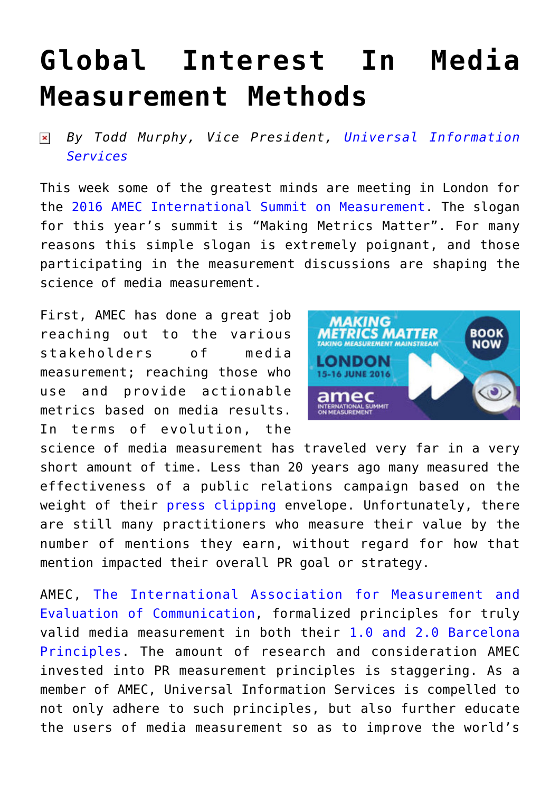## **[Global Interest In Media](https://www.commpro.biz/global-interest-in-media-measurement-methods/) [Measurement Methods](https://www.commpro.biz/global-interest-in-media-measurement-methods/)**

*By Todd Murphy, Vice President, [Universal Information](https://www.universal-info.com/)*  $\pmb{\times}$ *[Services](https://www.universal-info.com/)*

This week some of the greatest minds are meeting in London for the [2016 AMEC International Summit on Measurement](https://amecinternationalsummit.org/). The slogan for this year's summit is "Making Metrics Matter". For many reasons this simple slogan is extremely poignant, and those participating in the measurement discussions are shaping the science of media measurement.

First, AMEC has done a great job reaching out to the various stakeholders of media measurement; reaching those who use and provide actionable metrics based on media results. In terms of evolution, the



science of media measurement has traveled very far in a very short amount of time. Less than 20 years ago many measured the effectiveness of a public relations campaign based on the weight of their [press clipping](https://universal-info.com/press-clippings/) envelope. Unfortunately, there are still many practitioners who measure their value by the number of mentions they earn, without regard for how that mention impacted their overall PR goal or strategy.

AMEC, [The International Association for Measurement and](https://amecorg.com/about-amec/) [Evaluation of Communication](https://amecorg.com/about-amec/), formalized principles for truly valid media measurement in both their [1.0 and 2.0 Barcelona](https://amecorg.com/barcelona-principles-2-0-infographic/) [Principles.](https://amecorg.com/barcelona-principles-2-0-infographic/) The amount of research and consideration AMEC invested into PR measurement principles is staggering. As a member of AMEC, Universal Information Services is compelled to not only adhere to such principles, but also further educate the users of media measurement so as to improve the world's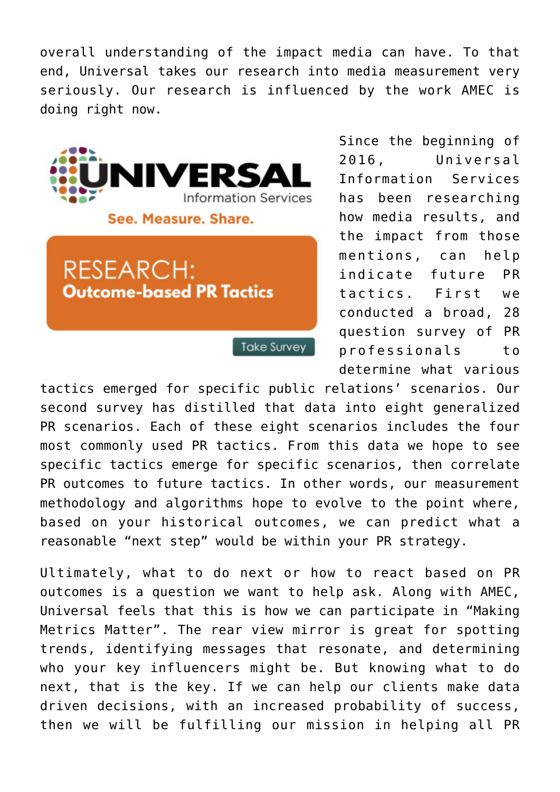overall understanding of the impact media can have. To that end, Universal takes our research into media measurement very seriously. Our research is influenced by the work AMEC is doing right now.



Since the beginning of 2016, Universal Information Services has been researching how media results, and the impact from those mentions, can help indicate future PR tactics. First we conducted a broad, 28 question survey of PR professionals to determine what various

tactics emerged for specific public relations' scenarios. Our second survey has distilled that data into eight generalized PR scenarios. Each of these eight scenarios includes the four most commonly used PR tactics. From this data we hope to see specific tactics emerge for specific scenarios, then correlate PR outcomes to future tactics. In other words, our measurement methodology and algorithms hope to evolve to the point where, based on your historical outcomes, we can predict what a reasonable "next step" would be within your PR strategy.

Ultimately, what to do next or how to react based on PR outcomes is a question we want to help ask. Along with AMEC, Universal feels that this is how we can participate in "Making Metrics Matter". The rear view mirror is great for spotting trends, identifying messages that resonate, and determining who your key influencers might be. But knowing what to do next, that is the key. If we can help our clients make data driven decisions, with an increased probability of success, then we will be fulfilling our mission in helping all PR